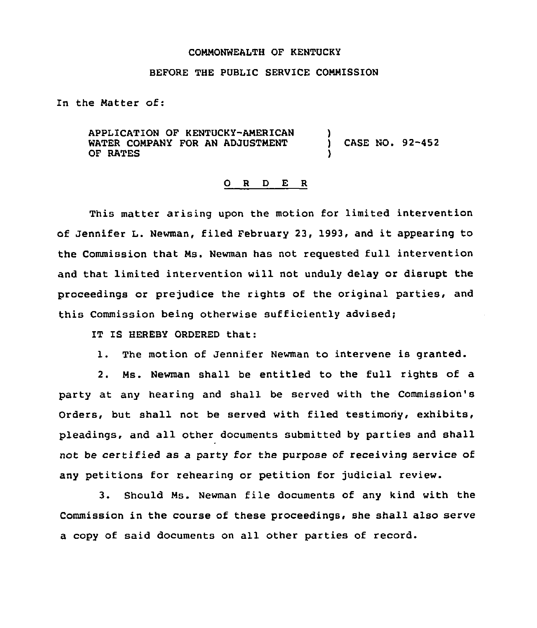## COMMONWEALTH OF KENTUCKY

## BEFORE THE PUBLIC SERVICE COMMISSION

In the Matter of:

APPLICATION OF KENTUCKY-AMERICAN WATER COMPANY FOR AN ADJUSTMENT ) CASE NO. 92-452 OF RATES

## 0 <sup>R</sup> <sup>D</sup> E <sup>R</sup>

This matter arising upon the motion for limited intervention of Jennifer L. Newman, filed February 23, 1993, and it appearing to the Commission that Ms. Newman has not requested full intervention and that limited intervention will not unduly delay or disrupt the proceedings or prejudice the rights of the original parties, and this Commission being otherwise sufficiently advised;

IT IS HEREBY ORDERED that:

1. The motion of Jennifer Newman to intervene is granted.

2. Ms. Newman shall be entitled to the full rights of a party at any hearing and shall be served with the Commission's Orders, but shall not be served with filed testimony, exhibits, pleadings, and all other documents submitted by parties and shall not be certified as a party for the purpose of receiving service of any petitions for rehearing or petition for judicial review.

3. Should Ms. Newman file documents of any kind with the Commission in the course of these proceedings, she shall also serve a copy of said documents on all other parties of record.